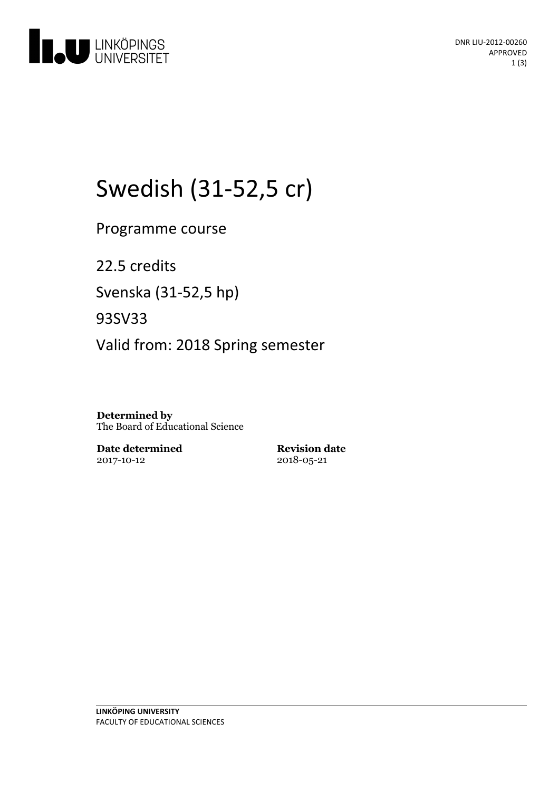

# Swedish (31-52,5 cr)

Programme course

22.5 credits

Svenska(31-52,5 hp)

93SV33

Valid from: 2018 Spring semester

**Determined by** The Board of Educational Science

**Date determined** 2017-10-12

**Revision date** 2018-05-21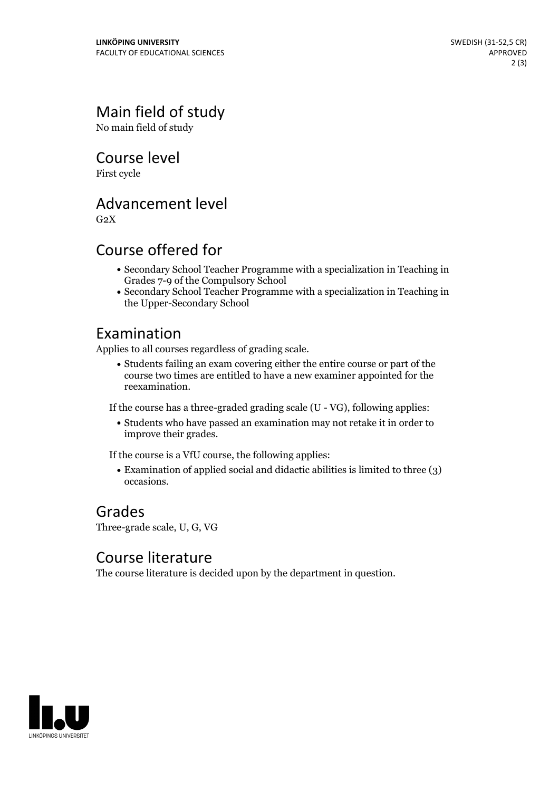### Main field of study

No main field of study

Course level

First cycle

#### Advancement level

 $G<sub>2</sub>X$ 

#### Course offered for

- Secondary School Teacher Programme with a specialization in Teaching in Grades 7-9 of the Compulsory School
- Secondary School Teacher Programme with a specialization in Teaching in the Upper-Secondary School

#### Examination

Applies to all courses regardless of grading scale.

Students failing an exam covering either the entire course or part of the course two times are entitled to have a new examiner appointed for the reexamination.

If the course has a three-graded grading scale (U - VG), following applies:

Students who have passed an examination may not retake it in order to improve their grades.

If the course is a VfU course, the following applies:

Examination of applied social and didactic abilities is limited to three (3) occasions.

## Grades

Three-grade scale, U, G, VG

#### Course literature

The course literature is decided upon by the department in question.